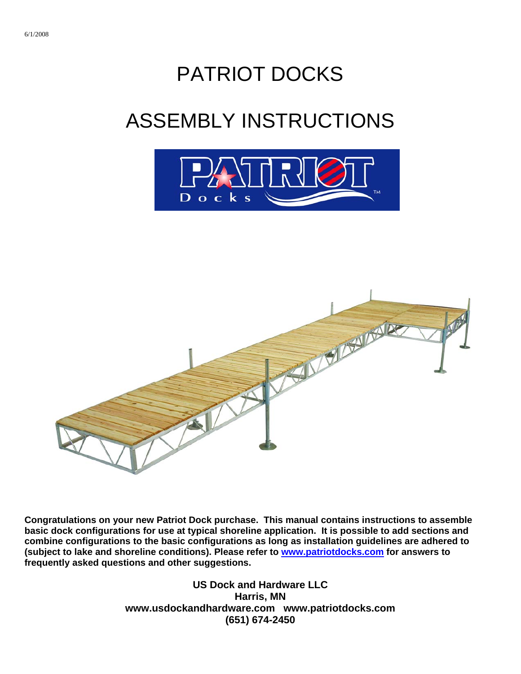## PATRIOT DOCKS

# ASSEMBLY INSTRUCTIONS





**Congratulations on your new Patriot Dock purchase. This manual contains instructions to assemble basic dock configurations for use at typical shoreline application. It is possible to add sections and combine configurations to the basic configurations as long as installation guidelines are adhered to (subject to lake and shoreline conditions). Please refer to [www.patriotdocks.com](http://www.patriotdocks.com/) for answers to frequently asked questions and other suggestions.** 

> **US Dock and Hardware LLC Harris, MN www.usdockandhardware.com www.patriotdocks.com (651) 674-2450**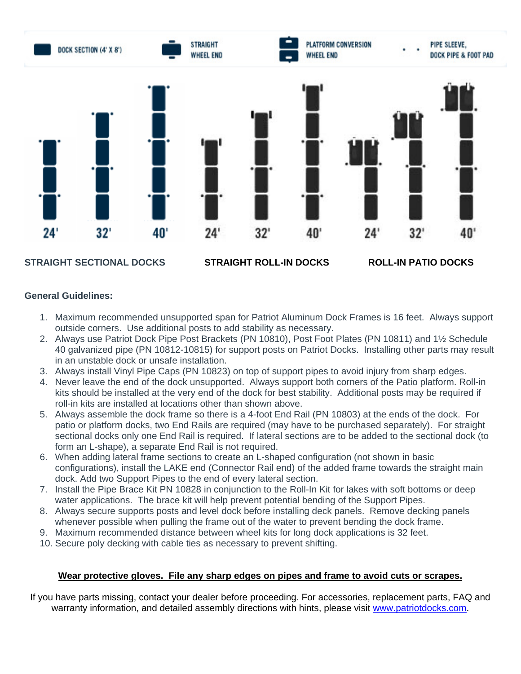

#### **General Guidelines:**

- 1. Maximum recommended unsupported span for Patriot Aluminum Dock Frames is 16 feet. Always support outside corners. Use additional posts to add stability as necessary.
- 2. Always use Patriot Dock Pipe Post Brackets (PN 10810), Post Foot Plates (PN 10811) and 1½ Schedule 40 galvanized pipe (PN 10812-10815) for support posts on Patriot Docks. Installing other parts may result in an unstable dock or unsafe installation.
- 3. Always install Vinyl Pipe Caps (PN 10823) on top of support pipes to avoid injury from sharp edges.
- 4. Never leave the end of the dock unsupported. Always support both corners of the Patio platform. Roll-in kits should be installed at the very end of the dock for best stability. Additional posts may be required if roll-in kits are installed at locations other than shown above.
- 5. Always assemble the dock frame so there is a 4-foot End Rail (PN 10803) at the ends of the dock. For patio or platform docks, two End Rails are required (may have to be purchased separately). For straight sectional docks only one End Rail is required. If lateral sections are to be added to the sectional dock (to form an L-shape), a separate End Rail is not required.
- 6. When adding lateral frame sections to create an L-shaped configuration (not shown in basic configurations), install the LAKE end (Connector Rail end) of the added frame towards the straight main dock. Add two Support Pipes to the end of every lateral section.
- 7. Install the Pipe Brace Kit PN 10828 in conjunction to the Roll-In Kit for lakes with soft bottoms or deep water applications. The brace kit will help prevent potential bending of the Support Pipes.
- 8. Always secure supports posts and level dock before installing deck panels. Remove decking panels whenever possible when pulling the frame out of the water to prevent bending the dock frame.
- 9. Maximum recommended distance between wheel kits for long dock applications is 32 feet.
- 10. Secure poly decking with cable ties as necessary to prevent shifting.

#### **Wear protective gloves. File any sharp edges on pipes and frame to avoid cuts or scrapes.**

If you have parts missing, contact your dealer before proceeding. For accessories, replacement parts, FAQ and warranty information, and detailed assembly directions with hints, please visit [www.patriotdocks.com](http://www.patriotdocks.com/).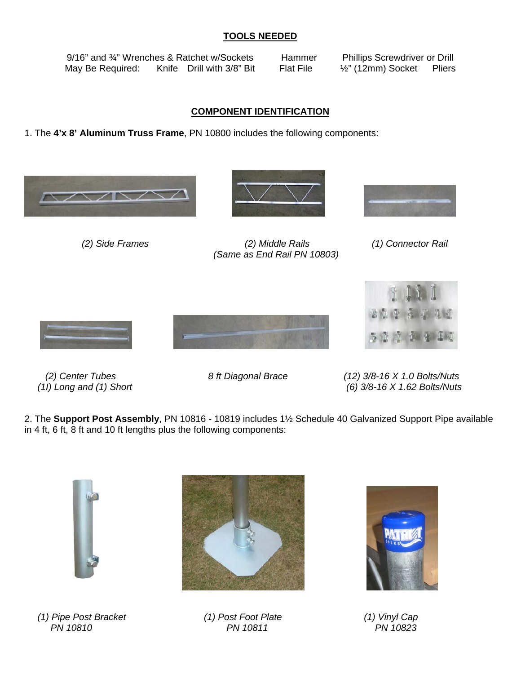## **TOOLS NEEDED**

9/16" and <sup>3</sup>/4" Wrenches & Ratchet w/Sockets Hammer Phillips Screwdriver or Drill May Be Required: Knife Drill with 3/8" Bit Flat File 1/2" (12mm) Socket Pliers

## **COMPONENT IDENTIFICATION**

1. The **4'x 8' Aluminum Truss Frame**, PN 10800 includes the following components:





 *(2) Side Frames (2) Middle Rails (1) Connector Rail (Same as End Rail PN 10803)* 









 *(2) Center Tubes 8 ft Diagonal Brace (12) 3/8-16 X 1.0 Bolts/Nuts (1I) Long and (1) Short (6) 3/8-16 X 1.62 Bolts/Nuts* 

2. The **Support Post Assembly**, PN 10816 - 10819 includes 1½ Schedule 40 Galvanized Support Pipe available in 4 ft, 6 ft, 8 ft and 10 ft lengths plus the following components:



 *(1) Pipe Post Bracket (1) Post Foot Plate (1) Vinyl Cap PN 10810 PN 10811 PN 10823*



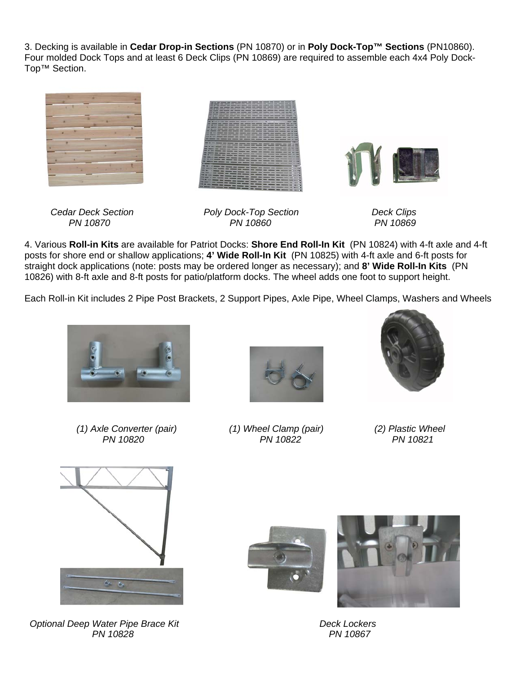3. Decking is available in **Cedar Drop-in Sections** (PN 10870) or in **Poly Dock-Top™ Sections** (PN10860). Four molded Dock Tops and at least 6 Deck Clips (PN 10869) are required to assemble each 4x4 Poly Dock-Top™ Section.



 *Cedar Deck Section Poly Dock-Top Section Deck Clips PN 10870 PN 10860 PN 10869* 

4. Various **Roll-in Kits** are available for Patriot Docks: **Shore End Roll-In Kit** (PN 10824) with 4-ft axle and 4-ft posts for shore end or shallow applications; **4' Wide Roll-In Kit** (PN 10825) with 4-ft axle and 6-ft posts for straight dock applications (note: posts may be ordered longer as necessary); and **8' Wide Roll-In Kits** (PN 10826) with 8-ft axle and 8-ft posts for patio/platform docks. The wheel adds one foot to support height.

Each Roll-in Kit includes 2 Pipe Post Brackets, 2 Support Pipes, Axle Pipe, Wheel Clamps, Washers and Wheels



 *(1) Axle Converter (pair) (1) Wheel Clamp (pair) (2) Plastic Wheel PN 10820 PN 10822 PN 10821*







**Optional Deep Water Pipe Brace Kit Contract Contract Property Reck Lockers Deck Lockers**  *PN 10828 PN 10867* 



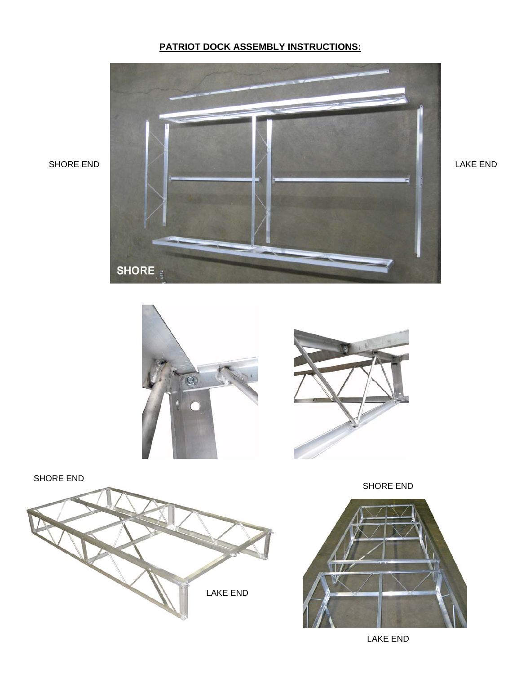## **PATRIOT DOCK ASSEMBLY INSTRUCTIONS:**





SHORE END



SHORE END



LAKE END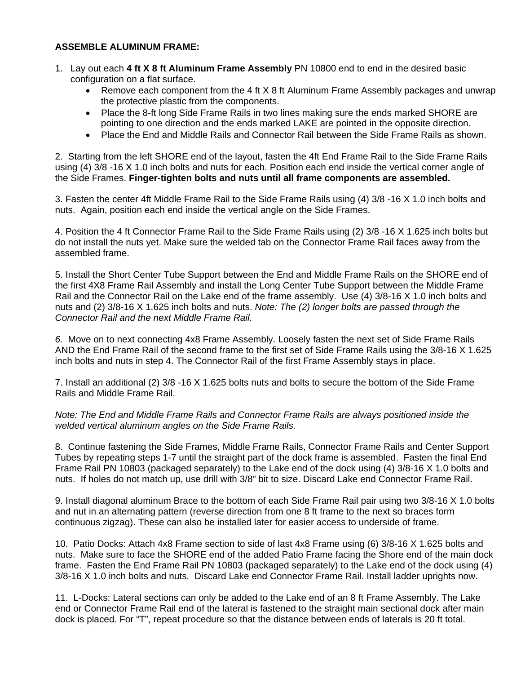## **ASSEMBLE ALUMINUM FRAME:**

- 1. Lay out each **4 ft X 8 ft Aluminum Frame Assembly** PN 10800 end to end in the desired basic configuration on a flat surface.
	- Remove each component from the 4 ft X 8 ft Aluminum Frame Assembly packages and unwrap the protective plastic from the components.
	- Place the 8-ft long Side Frame Rails in two lines making sure the ends marked SHORE are pointing to one direction and the ends marked LAKE are pointed in the opposite direction.
	- Place the End and Middle Rails and Connector Rail between the Side Frame Rails as shown.

2. Starting from the left SHORE end of the layout, fasten the 4ft End Frame Rail to the Side Frame Rails using (4) 3/8 -16 X 1.0 inch bolts and nuts for each. Position each end inside the vertical corner angle of the Side Frames. **Finger-tighten bolts and nuts until all frame components are assembled.**

3. Fasten the center 4ft Middle Frame Rail to the Side Frame Rails using (4) 3/8 -16 X 1.0 inch bolts and nuts. Again, position each end inside the vertical angle on the Side Frames.

4. Position the 4 ft Connector Frame Rail to the Side Frame Rails using (2) 3/8 -16 X 1.625 inch bolts but do not install the nuts yet. Make sure the welded tab on the Connector Frame Rail faces away from the assembled frame.

5. Install the Short Center Tube Support between the End and Middle Frame Rails on the SHORE end of the first 4X8 Frame Rail Assembly and install the Long Center Tube Support between the Middle Frame Rail and the Connector Rail on the Lake end of the frame assembly. Use (4) 3/8-16 X 1.0 inch bolts and nuts and (2) 3/8-16 X 1.625 inch bolts and nuts. *Note: The (2) longer bolts are passed through the Connector Rail and the next Middle Frame Rail.* 

*6.* Move on to next connecting 4x8 Frame Assembly. Loosely fasten the next set of Side Frame Rails AND the End Frame Rail of the second frame to the first set of Side Frame Rails using the 3/8-16 X 1.625 inch bolts and nuts in step 4. The Connector Rail of the first Frame Assembly stays in place.

7. Install an additional (2) 3/8 -16 X 1.625 bolts nuts and bolts to secure the bottom of the Side Frame Rails and Middle Frame Rail.

#### *Note: The End and Middle Frame Rails and Connector Frame Rails are always positioned inside the welded vertical aluminum angles on the Side Frame Rails.*

8. Continue fastening the Side Frames, Middle Frame Rails, Connector Frame Rails and Center Support Tubes by repeating steps 1-7 until the straight part of the dock frame is assembled. Fasten the final End Frame Rail PN 10803 (packaged separately) to the Lake end of the dock using (4) 3/8-16 X 1.0 bolts and nuts. If holes do not match up, use drill with 3/8" bit to size. Discard Lake end Connector Frame Rail.

9. Install diagonal aluminum Brace to the bottom of each Side Frame Rail pair using two 3/8-16 X 1.0 bolts and nut in an alternating pattern (reverse direction from one 8 ft frame to the next so braces form continuous zigzag). These can also be installed later for easier access to underside of frame.

10. Patio Docks: Attach 4x8 Frame section to side of last 4x8 Frame using (6) 3/8-16 X 1.625 bolts and nuts. Make sure to face the SHORE end of the added Patio Frame facing the Shore end of the main dock frame. Fasten the End Frame Rail PN 10803 (packaged separately) to the Lake end of the dock using (4) 3/8-16 X 1.0 inch bolts and nuts. Discard Lake end Connector Frame Rail. Install ladder uprights now.

11. L-Docks: Lateral sections can only be added to the Lake end of an 8 ft Frame Assembly. The Lake end or Connector Frame Rail end of the lateral is fastened to the straight main sectional dock after main dock is placed. For "T", repeat procedure so that the distance between ends of laterals is 20 ft total.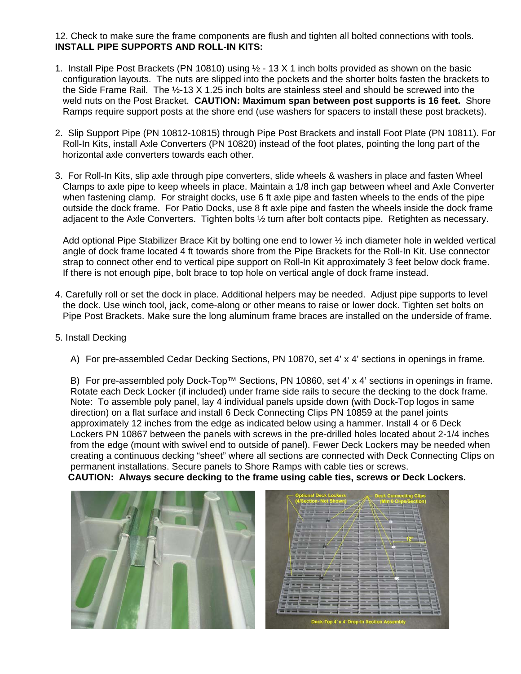12. Check to make sure the frame components are flush and tighten all bolted connections with tools.  **INSTALL PIPE SUPPORTS AND ROLL-IN KITS:**

- 1. Install Pipe Post Brackets (PN 10810) using ½ 13 X 1 inch bolts provided as shown on the basic configuration layouts. The nuts are slipped into the pockets and the shorter bolts fasten the brackets to the Side Frame Rail. The ½-13 X 1.25 inch bolts are stainless steel and should be screwed into the weld nuts on the Post Bracket. **CAUTION: Maximum span between post supports is 16 feet.** Shore Ramps require support posts at the shore end (use washers for spacers to install these post brackets).
- 2. Slip Support Pipe (PN 10812-10815) through Pipe Post Brackets and install Foot Plate (PN 10811). For Roll-In Kits, install Axle Converters (PN 10820) instead of the foot plates, pointing the long part of the horizontal axle converters towards each other.
- 3. For Roll-In Kits, slip axle through pipe converters, slide wheels & washers in place and fasten Wheel Clamps to axle pipe to keep wheels in place. Maintain a 1/8 inch gap between wheel and Axle Converter when fastening clamp. For straight docks, use 6 ft axle pipe and fasten wheels to the ends of the pipe outside the dock frame. For Patio Docks, use 8 ft axle pipe and fasten the wheels inside the dock frame adjacent to the Axle Converters. Tighten bolts ½ turn after bolt contacts pipe. Retighten as necessary.

Add optional Pipe Stabilizer Brace Kit by bolting one end to lower ½ inch diameter hole in welded vertical angle of dock frame located 4 ft towards shore from the Pipe Brackets for the Roll-In Kit. Use connector strap to connect other end to vertical pipe support on Roll-In Kit approximately 3 feet below dock frame. If there is not enough pipe, bolt brace to top hole on vertical angle of dock frame instead.

- 4. Carefully roll or set the dock in place. Additional helpers may be needed. Adjust pipe supports to level the dock. Use winch tool, jack, come-along or other means to raise or lower dock. Tighten set bolts on Pipe Post Brackets. Make sure the long aluminum frame braces are installed on the underside of frame.
- 5. Install Decking
	- A) For pre-assembled Cedar Decking Sections, PN 10870, set 4' x 4' sections in openings in frame.

B) For pre-assembled poly Dock-Top™ Sections, PN 10860, set 4' x 4' sections in openings in frame. Rotate each Deck Locker (if included) under frame side rails to secure the decking to the dock frame. Note: To assemble poly panel, lay 4 individual panels upside down (with Dock-Top logos in same direction) on a flat surface and install 6 Deck Connecting Clips PN 10859 at the panel joints approximately 12 inches from the edge as indicated below using a hammer. Install 4 or 6 Deck Lockers PN 10867 between the panels with screws in the pre-drilled holes located about 2-1/4 inches from the edge (mount with swivel end to outside of panel). Fewer Deck Lockers may be needed when creating a continuous decking "sheet" where all sections are connected with Deck Connecting Clips on permanent installations. Secure panels to Shore Ramps with cable ties or screws.  **CAUTION: Always secure decking to the frame using cable ties, screws or Deck Lockers.**